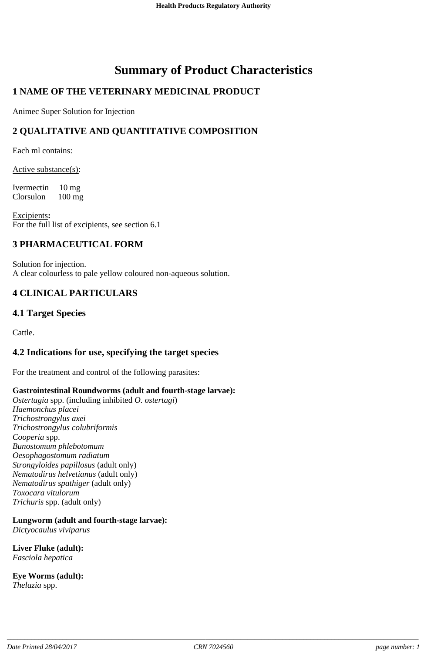# **Summary of Product Characteristics**

# **1 NAME OF THE VETERINARY MEDICINAL PRODUCT**

Animec Super Solution for Injection

# **2 QUALITATIVE AND QUANTITATIVE COMPOSITION**

Each ml contains:

Active substance(s):

Ivermectin 10 mg Clorsulon 100 mg

Excipients**:** For the full list of excipients, see section 6.1

### **3 PHARMACEUTICAL FORM**

Solution for injection. A clear colourless to pale yellow coloured non-aqueous solution.

## **4 CLINICAL PARTICULARS**

### **4.1 Target Species**

Cattle.

### **4.2 Indications for use, specifying the target species**

For the treatment and control of the following parasites:

#### **Gastrointestinal Roundworms (adult and fourth-stage larvae):**

*Ostertagia* spp. (including inhibited *O. ostertagi*) *Haemonchus placei Trichostrongylus axei Trichostrongylus colubriformis Cooperia* spp. *Bunostomum phlebotomum Oesophagostomum radiatum Strongyloides papillosus* (adult only) *Nematodirus helvetianus* (adult only) *Nematodirus spathiger* (adult only) *Toxocara vitulorum Trichuris* spp. (adult only)

## **Lungworm (adult and fourth-stage larvae):**

*Dictyocaulus viviparus*

**Liver Fluke (adult):** *Fasciola hepatica*

**Eye Worms (adult):** *Thelazia* spp.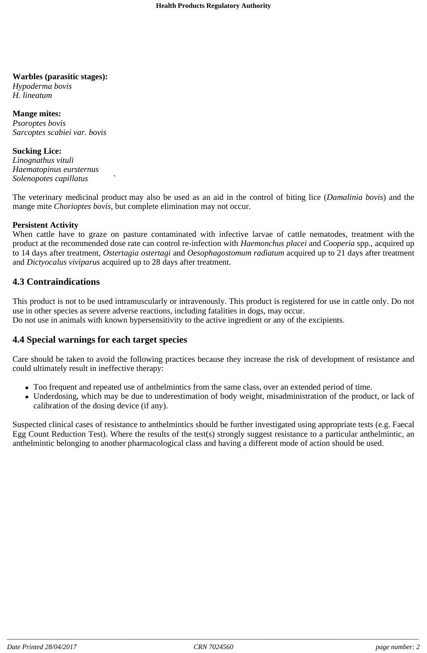#### **Warbles (parasitic stages):**

*Hypoderma bovis H. lineatum*

#### **Mange mites:**

*Psoroptes bovis Sarcoptes scabiei var. bovis*

#### **Sucking Lice:**

*Linognathus vituli Haematopinus eursternus Solenopotes capillatus* `

The veterinary medicinal product may also be used as an aid in the control of biting lice (*Damalinia bovis*) and the mange mite *Chorioptes bovis*, but complete elimination may not occur.

#### **Persistent Activity**

When cattle have to graze on pasture contaminated with infective larvae of cattle nematodes, treatment with the product at the recommended dose rate can control re-infection with *Haemonchus placei* and *Cooperia* spp., acquired up to 14 days after treatment, *Ostertagia ostertagi* and *Oesophagostomum radiatum* acquired up to 21 days after treatment and *Dictyocalus viviparus* acquired up to 28 days after treatment.

### **4.3 Contraindications**

This product is not to be used intramuscularly or intravenously. This product is registered for use in cattle only. Do not use in other species as severe adverse reactions, including fatalities in dogs, may occur. Do not use in animals with known hypersensitivity to the active ingredient or any of the excipients.

### **4.4 Special warnings for each target species**

Care should be taken to avoid the following practices because they increase the risk of development of resistance and could ultimately result in ineffective therapy:

- Too frequent and repeated use of anthelmintics from the same class, over an extended period of time.
- Underdosing, which may be due to underestimation of body weight, misadministration of the product, or lack of calibration of the dosing device (if any).

Suspected clinical cases of resistance to anthelmintics should be further investigated using appropriate tests (e.g. Faecal Egg Count Reduction Test). Where the results of the test(s) strongly suggest resistance to a particular anthelmintic, an anthelmintic belonging to another pharmacological class and having a different mode of action should be used.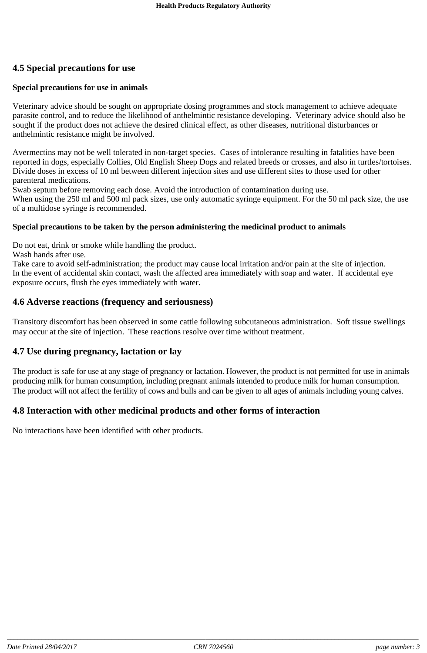# **4.5 Special precautions for use**

#### **Special precautions for use in animals**

Veterinary advice should be sought on appropriate dosing programmes and stock management to achieve adequate parasite control, and to reduce the likelihood of anthelmintic resistance developing. Veterinary advice should also be sought if the product does not achieve the desired clinical effect, as other diseases, nutritional disturbances or anthelmintic resistance might be involved.

Avermectins may not be well tolerated in non-target species. Cases of intolerance resulting in fatalities have been reported in dogs, especially Collies, Old English Sheep Dogs and related breeds or crosses, and also in turtles/tortoises. Divide doses in excess of 10 ml between different injection sites and use different sites to those used for other parenteral medications.

Swab septum before removing each dose. Avoid the introduction of contamination during use.

When using the 250 ml and 500 ml pack sizes, use only automatic syringe equipment. For the 50 ml pack size, the use of a multidose syringe is recommended.

#### **Special precautions to be taken by the person administering the medicinal product to animals**

Do not eat, drink or smoke while handling the product.

Wash hands after use.

Take care to avoid self-administration; the product may cause local irritation and/or pain at the site of injection. In the event of accidental skin contact, wash the affected area immediately with soap and water. If accidental eye exposure occurs, flush the eyes immediately with water.

### **4.6 Adverse reactions (frequency and seriousness)**

Transitory discomfort has been observed in some cattle following subcutaneous administration. Soft tissue swellings may occur at the site of injection. These reactions resolve over time without treatment.

#### **4.7 Use during pregnancy, lactation or lay**

The product is safe for use at any stage of pregnancy or lactation. However, the product is not permitted for use in animals producing milk for human consumption, including pregnant animals intended to produce milk for human consumption. The product will not affect the fertility of cows and bulls and can be given to all ages of animals including young calves.

### **4.8 Interaction with other medicinal products and other forms of interaction**

No interactions have been identified with other products.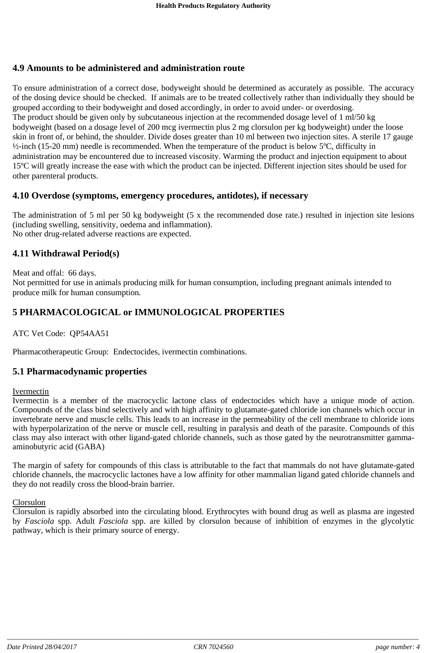### **4.9 Amounts to be administered and administration route**

To ensure administration of a correct dose, bodyweight should be determined as accurately as possible. The accuracy of the dosing device should be checked. If animals are to be treated collectively rather than individually they should be grouped according to their bodyweight and dosed accordingly, in order to avoid under- or overdosing. The product should be given only by subcutaneous injection at the recommended dosage level of 1 ml/50 kg bodyweight (based on a dosage level of 200 mcg ivermectin plus 2 mg clorsulon per kg bodyweight) under the loose skin in front of, or behind, the shoulder. Divide doses greater than 10 ml between two injection sites. A sterile 17 gauge  $\frac{1}{2}$ -inch (15-20 mm) needle is recommended. When the temperature of the product is below 5°C, difficulty in administration may be encountered due to increased viscosity. Warming the product and injection equipment to about 15ºC will greatly increase the ease with which the product can be injected. Different injection sites should be used for other parenteral products.

### **4.10 Overdose (symptoms, emergency procedures, antidotes), if necessary**

The administration of 5 ml per 50 kg bodyweight (5 x the recommended dose rate.) resulted in injection site lesions (including swelling, sensitivity, oedema and inflammation). No other drug-related adverse reactions are expected.

### **4.11 Withdrawal Period(s)**

Meat and offal: 66 days.

Not permitted for use in animals producing milk for human consumption, including pregnant animals intended to produce milk for human consumption*.*

## **5 PHARMACOLOGICAL or IMMUNOLOGICAL PROPERTIES**

ATC Vet Code: QP54AA51

Pharmacotherapeutic Group: Endectocides, ivermectin combinations.

### **5.1 Pharmacodynamic properties**

#### Ivermectin

Ivermectin is a member of the macrocyclic lactone class of endectocides which have a unique mode of action. Compounds of the class bind selectively and with high affinity to glutamate-gated chloride ion channels which occur in invertebrate nerve and muscle cells. This leads to an increase in the permeability of the cell membrane to chloride ions with hyperpolarization of the nerve or muscle cell, resulting in paralysis and death of the parasite. Compounds of this class may also interact with other ligand-gated chloride channels, such as those gated by the neurotransmitter gammaaminobutyric acid (GABA)

The margin of safety for compounds of this class is attributable to the fact that mammals do not have glutamate-gated chloride channels, the macrocyclic lactones have a low affinity for other mammalian ligand gated chloride channels and they do not readily cross the blood-brain barrier.

#### Clorsulon

Clorsulon is rapidly absorbed into the circulating blood. Erythrocytes with bound drug as well as plasma are ingested by *Fasciola* spp. Adult *Fasciola* spp. are killed by clorsulon because of inhibition of enzymes in the glycolytic pathway, which is their primary source of energy.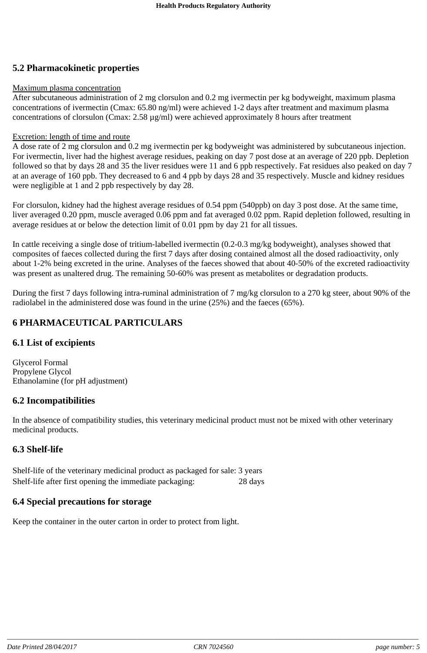# **5.2 Pharmacokinetic properties**

#### Maximum plasma concentration

After subcutaneous administration of 2 mg clorsulon and 0.2 mg ivermectin per kg bodyweight, maximum plasma concentrations of ivermectin (Cmax: 65.80 ng/ml) were achieved 1-2 days after treatment and maximum plasma concentrations of clorsulon (Cmax: 2.58 µg/ml) were achieved approximately 8 hours after treatment

#### Excretion: length of time and route

A dose rate of 2 mg clorsulon and 0.2 mg ivermectin per kg bodyweight was administered by subcutaneous injection. For ivermectin, liver had the highest average residues, peaking on day 7 post dose at an average of 220 ppb. Depletion followed so that by days 28 and 35 the liver residues were 11 and 6 ppb respectively. Fat residues also peaked on day 7 at an average of 160 ppb. They decreased to 6 and 4 ppb by days 28 and 35 respectively. Muscle and kidney residues were negligible at 1 and 2 ppb respectively by day 28.

For clorsulon, kidney had the highest average residues of 0.54 ppm (540ppb) on day 3 post dose. At the same time, liver averaged 0.20 ppm, muscle averaged 0.06 ppm and fat averaged 0.02 ppm. Rapid depletion followed, resulting in average residues at or below the detection limit of 0.01 ppm by day 21 for all tissues.

In cattle receiving a single dose of tritium-labelled ivermectin (0.2-0.3 mg/kg bodyweight), analyses showed that composites of faeces collected during the first 7 days after dosing contained almost all the dosed radioactivity, only about 1-2% being excreted in the urine. Analyses of the faeces showed that about 40-50% of the excreted radioactivity was present as unaltered drug. The remaining 50-60% was present as metabolites or degradation products.

During the first 7 days following intra-ruminal administration of 7 mg/kg clorsulon to a 270 kg steer, about 90% of the radiolabel in the administered dose was found in the urine (25%) and the faeces (65%).

# **6 PHARMACEUTICAL PARTICULARS**

## **6.1 List of excipients**

Glycerol Formal Propylene Glycol Ethanolamine (for pH adjustment)

## **6.2 Incompatibilities**

In the absence of compatibility studies, this veterinary medicinal product must not be mixed with other veterinary medicinal products.

### **6.3 Shelf-life**

Shelf-life of the veterinary medicinal product as packaged for sale: 3 years Shelf-life after first opening the immediate packaging: 28 days

## **6.4 Special precautions for storage**

Keep the container in the outer carton in order to protect from light.